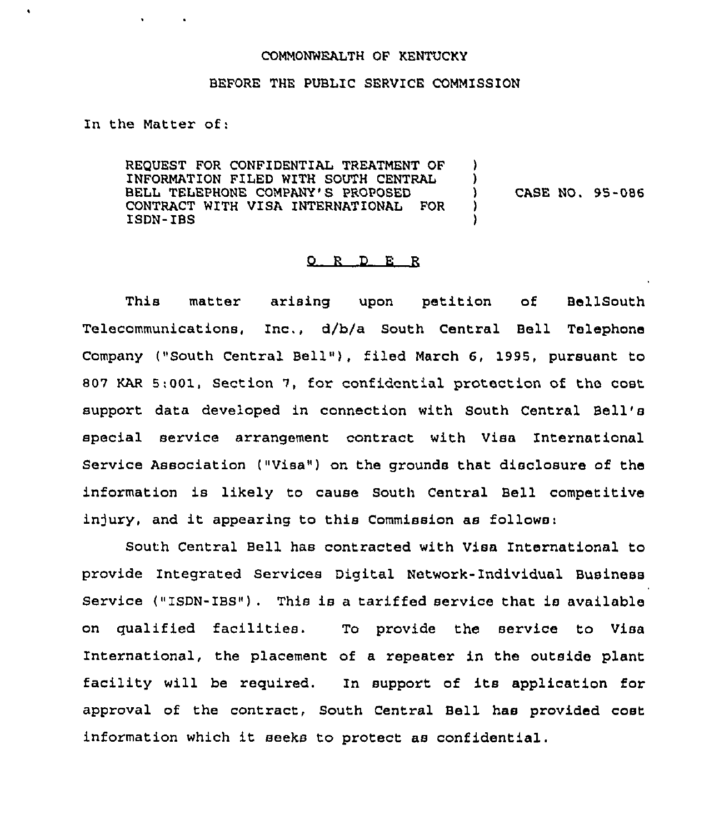## COMMONWEALTH OF KENTUCKY

## BEFORE THE PUBLIC SERVICE COMMISSION

In the Matter of:

REQUEST FOR CONFIDENTIAL TREATMENT OF INFORMATION FILED WITH SOUTH CENTRAL BELL TELEPHONE COMPANY'S PROPOSED CONTRACT WITH VISA INTERNATIONAL FOR ISDN-IBS

) CASE NO. 95-086

) )<br>)

) )

## 0 <sup>R</sup> <sup>D</sup> E R

This matter arising upon petition of BellSouth Telecommunications, Inc., d/b/a South Central Bell Telephone Company ("South Central Bell"), filed March 6, 1995, pursuant to 807 KAR 5:001, Section 7, for confidential protection of the cost support data developed in connection with South Central Bell' special service arrangement contract with Visa International Service Association ("Visa") on the grounds that disclosure of the information is likely to cause South Central Bell competitive injury, and it appearing to this Commission as follows:

South Central Bell has contracted with Visa International to provide Integrated Services Digital Network-Individual Business Service ("ISDN-IBS") . This is a tariffed service that is available on qualified facilities. To provide the service to Visa International, the placement of a repeater in the outside plant facility will be required. In support of its application for approval of the contract, South Central Bell has provided cost information which it seeks to protect as confidential.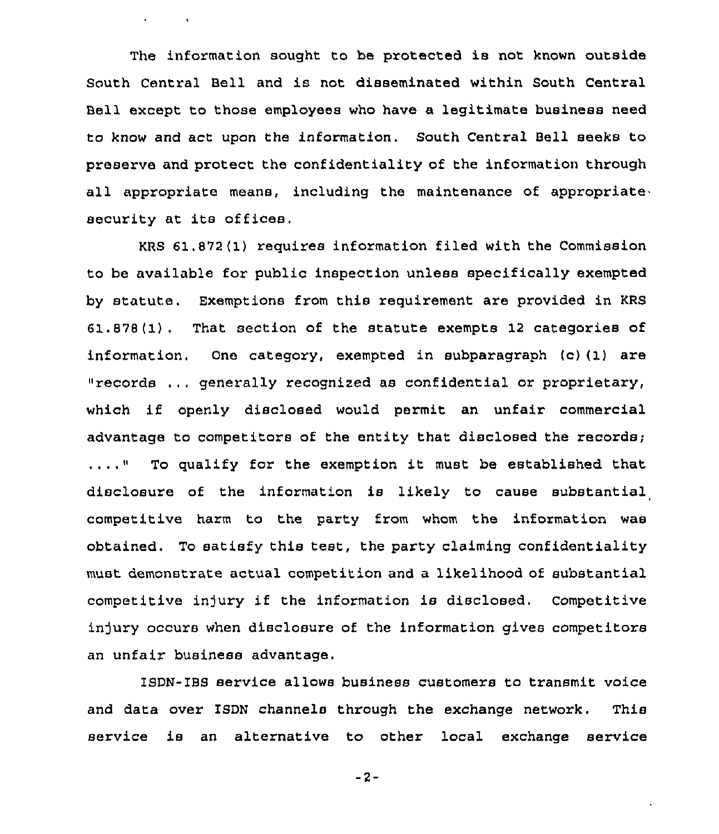The information sought to be protected is not known outside South Central Bell and is not disseminated within South Central Bell except to those employees who have a legitimate business need to know and act upon the information. South Central Bell seeks to preserve and protect the confidentiality of the information through all appropriate means, including the maintenance of appropriate security at its offices.

 $\mathbf{v} = \mathbf{v} \times \mathbf{v}$  .

KRS 61.872(1) requires information filed with the Commission to be available for public inspection unless specifically exempted by statute. Exemptions from this requirement are provided in KRS 61.878 (1) . That section of the statute exempts 12 categories of information, One category, exempted in subparagraph (c)(1) are "records ...generally recognized as confidential or proprietary, which if openly disclosed would permit an unfair commercial advantage to competitors of the entity that disclosed the records;  $\ldots$ ... To qualify for the exemption it must be established that disclosure of the information is likely to cause substantial competitive harm to the party from whom the informaticn was obtained. To satisfy this test, the party claiming confidentiality must demonstrate actual competition and a likelihood of substantial competitive injury if the information is disclosed. Competitive injury occurs when disclosure of the information gives competitors an unfair business advantage.

ISDN-IBS service allows business customers to transmit voice and data over ISDN channels through the exchange network. This service is an alternative to other local exchange service

 $-2-$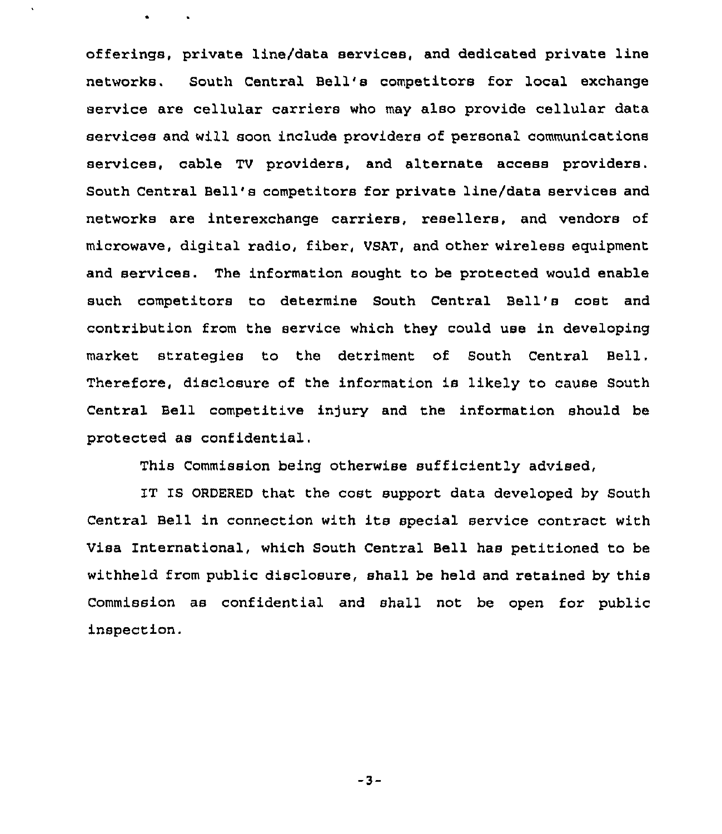offerings, private line/data services, and dedicated private line networks. South Central Bell's competitors for local exchange service are cellular carriers who may also provide cellular data services and will soon include providers of personal communications services, cable TV providers, and alternate access providers. South Central Bell's competitors for private line/data services and networks are interexchange carriers, resellers, and vendors of microwave, digital radio, fiber, VSAT, and other wireless equipment and services. The information sought to be protected would enable such competitors to determine South Central Bell's cost and contribution from the service which they could use in developing market strategies to the detriment of South Central Bell, Therefore, disclosure of the information is likely to cause South Central Bell competitive injury and the information should be protected as confidential.

 $\ddot{\phantom{0}}$ 

**Contract Street** 

This Commission being otherwise sufficiently advised,

IT IS ORDERED that the cost support data developed by South Central Bell in connection with its special service contract with Visa International, which South Central Bell has petitioned to be withheld from public disclosure, shall be held and retained by this Commission as confidential and shall not be open for public inspection.

 $-3-$